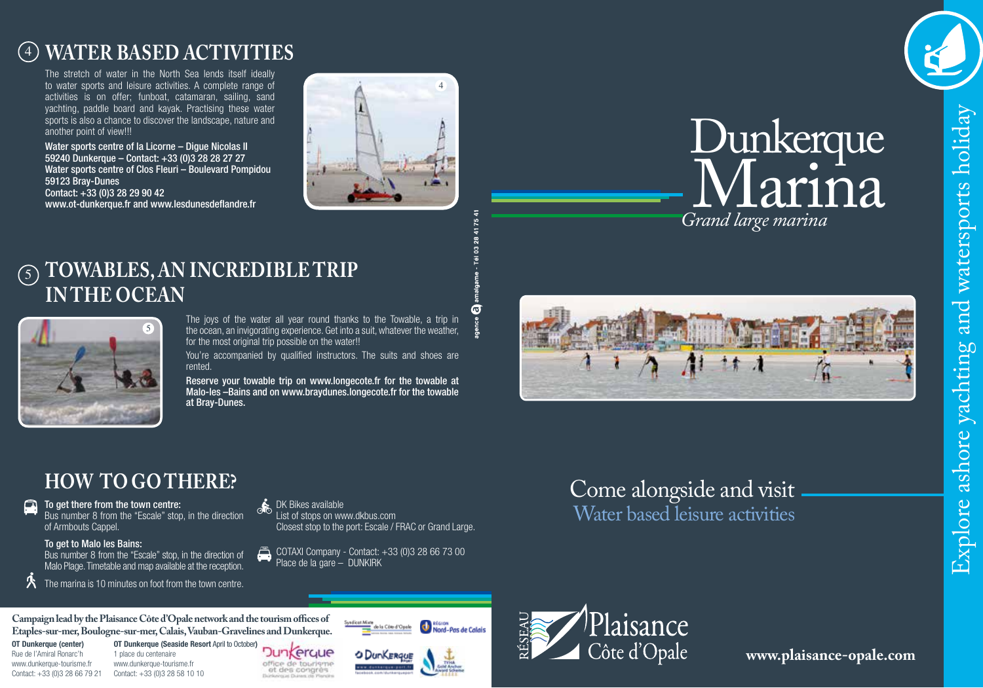## <sup>4</sup> **WATER BASED ACTIVITIES**

The stretch of water in the North Sea lends itself ideally to water sports and leisure activities. A complete range of activities is on offer; funboat, catamaran, sailing, sand yachting, paddle board and kayak. Practising these water sports is also a chance to discover the landscape, nature and another point of view!!!

Water sports centre of la Licorne – Digue Nicolas II 59240 Dunkerque – Contact: +33 (0)3 28 28 27 27 Water sports centre of Clos Fleuri – Boulevard Pompidou 59123 Bray-Dunes Contact: +33 (0)3 28 29 90 42 www.ot-dunkerque.fr and www.lesdunesdeflandre.fr





# holiday Explore ashore yachting and watersports holiday watersports and ashore yachting Explore

## 5 **TOWABLES, AN INCREDIBLE TRIP IN THE OCEAN**



The joys of the water all year round thanks to the Towable, a trip in the ocean, an invigorating experience. Get into a suit, whatever the weather, for the most original trip possible on the water!!

You're accompanied by qualified instructors. The suits and shoes are rented.

Reserve your towable trip on www.longecote.fr for the towable at Malo-les –Bains and on www.braydunes.longecote.fr for the towable at Bray-Dunes.

## **HOW TO GO THERE?**

 $\Box$  To get there from the town centre: Bus number 8 from the "Escale" stop, in the direction of Armbouts Cappel.

#### To get to Malo les Bains:

Bus number 8 from the "Escale" stop, in the direction of Malo Plage. Timetable and map available at the reception.

The marina is 10 minutes on foot from the town centre.

### DK Bikes available

List of stops on www.dkbus.com Closest stop to the port: Escale / FRAC or Grand Large.

COTAXI Company - Contact: +33 (0)3 28 66 73 00 Place de la gare – DUNKIRK

## Water based leisure activities Come alongside and visit



**OT Dunkerque (center)** Rue de l'Amiral Ronarc'h www.dunkerque-tourisme.fr

Contact: +33 (0)3 28 66 79 21 Contact: +33 (0)3 28 58 10 101 place du centenaire www.dunkerque-tourisme.fr

Dunkerque office de touriement<br>et des congrès



naion<br>Nord-Pas de Calais

e la Côte d'Opele



**www.plaisance-opale.com**